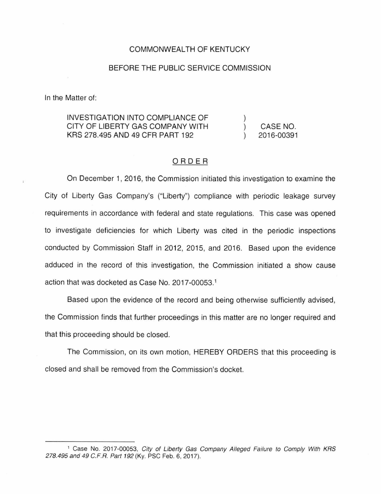## COMMONWEALTH OF KENTUCKY

## BEFORE THE PUBLIC SERVICE COMMISSION

In the Matter of:

## INVESTIGATION INTO COMPLIANCE OF CITY OF LIBERTY GAS COMPANY WITH KRS 278.495 AND 49 CFR PART 192 CASE NO. 2016-00391

## ORDER

On December 1, 2016, the Commission initiated this investigation to examine the City of Liberty Gas Company's ("Liberty") compliance with periodic leakage survey requirements in accordance with federal and state regulations. This case was opened to investigate deficiencies for which Liberty was cited in the periodic inspections conducted by Commission Staff in 2012, 2015, and 2016. Based upon the evidence adduced in the record of this investigation, the Commission initiated a show cause action that was docketed as Case No. 2017-00053.<sup>1</sup>

Based upon the evidence of the record and being otherwise sufficiently advised, the Commission finds that further proceedings in this matter are no longer required and that this proceeding should be closed.

The Commission, on its own motion, HEREBY ORDERS that this proceeding is closed and shall be removed from the Commission's docket.

<sup>&</sup>lt;sup>1</sup> Case No. 2017-00053, City of Liberty Gas Company Alleged Failure to Comply With KRS 278.495 and 49 C.F.R. Part 192 (Ky. PSC Feb. 6, 2017).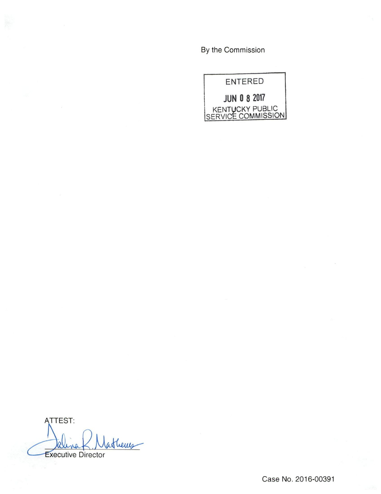By the Commission



**ATTEST:** atherry K Executive Director

Case No. 2016-00391